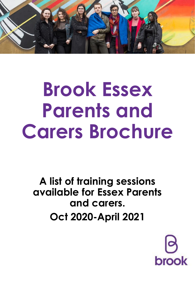

# **Brook Essex Parents and Carers Brochure**

**A list of training sessions available for Essex Parents and carers. Oct 2020-April 2021**

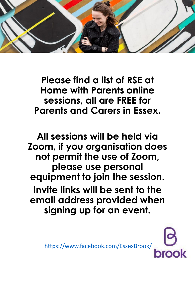

**Please find a list of RSE at Home with Parents online sessions, all are FREE for Parents and Carers in Essex.** 

**All sessions will be held via Zoom, if you organisation does not permit the use of Zoom, please use personal equipment to join the session. Invite links will be sent to the email address provided when signing up for an event.** 

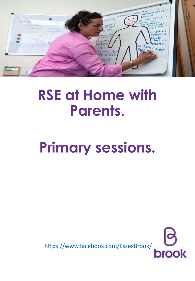

### **RSE at Home with Parents.**

## **Primary sessions.**

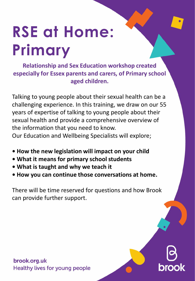## **RSE at Home: Primary**

**Relationship and Sex Education workshop created especially for Essex parents and carers, of Primary school aged children.** 

Talking to young people about their sexual health can be a challenging experience. In this training, we draw on our 55 years of expertise of talking to young people about their sexual health and provide a comprehensive overview of the information that you need to know.

Our Education and Wellbeing Specialists will explore;

- **How the new legislation will impact on your child**
- **What it means for primary school students**
- **What is taught and why we teach it**
- **How you can continue those conversations at home.**

There will be time reserved for questions and how Brook can provide further support.

brook.org.uk Healthy lives for young people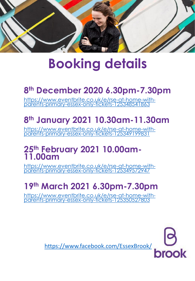

### **Booking details**

#### **8 th December 2020 6.30pm-7.30pm**

https://www.eventbrite.co.uk/e/rse-at-home-with[parents-primary-essex-only-tickets-125348541863](https://www.eventbrite.co.uk/e/rse-at-home-with-parents-primary-essex-only-tickets-125348541863)

### **8 th January 2021 10.30am-11.30am**

[https://www.eventbrite.co.uk/e/rse-at-home-with](https://www.eventbrite.co.uk/e/rse-at-home-with-parents-primary-essex-only-tickets-125349199831)parents-primary-essex-only-tickets-125349199831

#### **25th February 2021 10.00am-11.00am**

https://www.eventbrite.co.uk/e/rse-at-home-with[parents-primary-essex-only-tickets-125349572947](https://www.eventbrite.co.uk/e/rse-at-home-with-parents-primary-essex-only-tickets-125349572947)

#### **19th March 2021 6.30pm-7.30pm**

https://www.eventbrite.co.uk/e/rse-at-home-with[parents-primary-essex-only-tickets-125350527803](https://www.eventbrite.co.uk/e/rse-at-home-with-parents-primary-essex-only-tickets-125350527803)

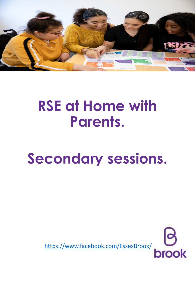

### **RSE at Home with Parents.**

## **Secondary sessions.**

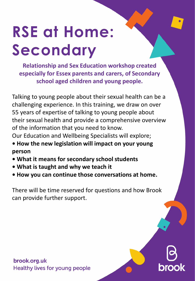## **RSE at Home: Secondary**

**Relationship and Sex Education workshop created especially for Essex parents and carers, of Secondary school aged children and young people.** 

Talking to young people about their sexual health can be a challenging experience. In this training, we draw on over 55 years of expertise of talking to young people about their sexual health and provide a comprehensive overview of the information that you need to know.

Our Education and Wellbeing Specialists will explore;

- **How the new legislation will impact on your young person**
- **What it means for secondary school students**
- **What is taught and why we teach it**
- **How you can continue those conversations at home.**

There will be time reserved for questions and how Brook can provide further support.

brook.org.uk Healthy lives for young people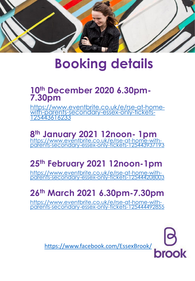

### **Booking details**

#### **10th December 2020 6.30pm-7.30pm**

[https://www.eventbrite.co.uk/e/rse-at-home](https://www.eventbrite.co.uk/e/rse-at-home-with-parents-secondary-essex-only-tickets-125443616233)with-parents-secondary-essex-only-tickets-125443616233

**8 th January 2021 12noon- 1pm**  https://www.eventbrite.co.uk/e/rse-at-home-with[parents-secondary-essex-only-tickets-125443937193](https://www.eventbrite.co.uk/e/rse-at-home-with-parents-secondary-essex-only-tickets-125443937193)

### **25th February 2021 12noon-1pm**

https://www.eventbrite.co.uk/e/rse-at-home-with[parents-secondary-essex-only-tickets-125444208003](https://www.eventbrite.co.uk/e/rse-at-home-with-parents-secondary-essex-only-tickets-125444208003)

### **26th March 2021 6.30pm-7.30pm**

https://www.eventbrite.co.uk/e/rse-at-home-with[parents-secondary-essex-only-tickets-125444492855](https://www.eventbrite.co.uk/e/rse-at-home-with-parents-secondary-essex-only-tickets-125444492855)

<https://www.facebook.com/EssexBrook/>